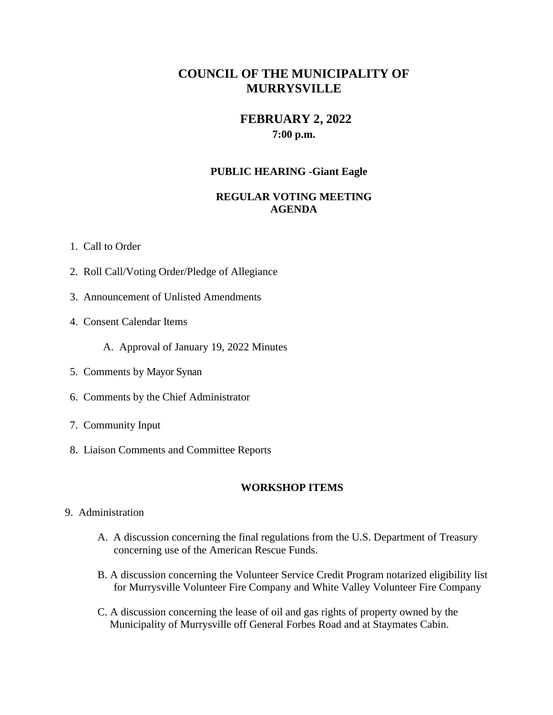# **COUNCIL OF THE MUNICIPALITY OF MURRYSVILLE**

# **FEBRUARY 2, 2022 7:00 p.m.**

### **PUBLIC HEARING -Giant Eagle**

## **REGULAR VOTING MEETING AGENDA**

- 1. Call to Order
- 2. Roll Call/Voting Order/Pledge of Allegiance
- 3. Announcement of Unlisted Amendments
- 4. Consent Calendar Items
	- A. Approval of January 19, 2022 Minutes
- 5. Comments by Mayor Synan
- 6. Comments by the Chief Administrator
- 7. Community Input
- 8. Liaison Comments and Committee Reports

### **WORKSHOP ITEMS**

- 9. Administration
	- A. A discussion concerning the final regulations from the U.S. Department of Treasury concerning use of the American Rescue Funds.
	- B. A discussion concerning the Volunteer Service Credit Program notarized eligibility list for Murrysville Volunteer Fire Company and White Valley Volunteer Fire Company
	- C. A discussion concerning the lease of oil and gas rights of property owned by the Municipality of Murrysville off General Forbes Road and at Staymates Cabin.